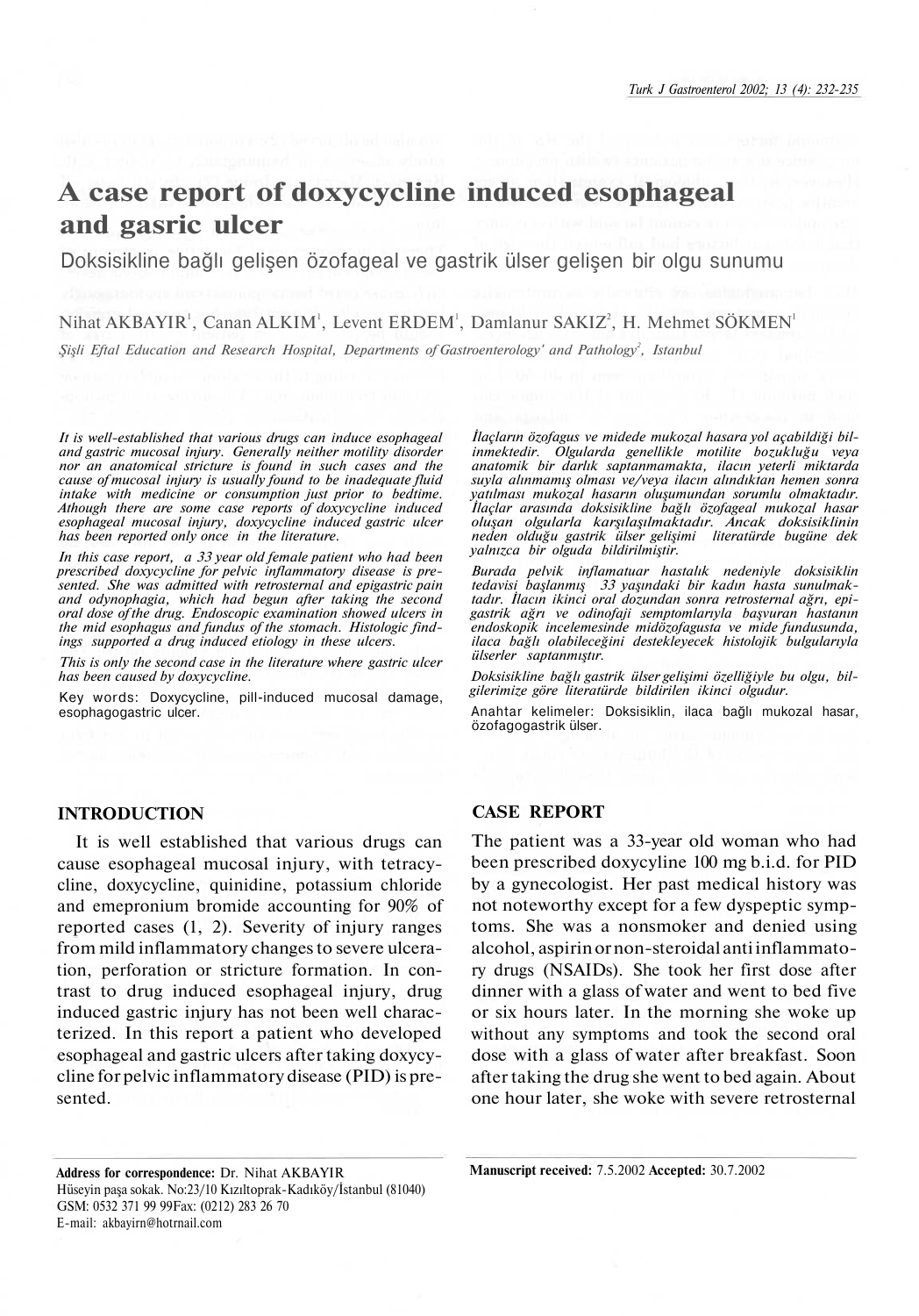# **A case report of doxycycline induced esophageal and gasric ulcer**

Doksisikline bağlı gelişen özofageal ve gastrik ülser gelişen bir olgu sunumu

Nihat AKBAYIR<sup>1</sup>, Canan ALKIM<sup>1</sup>, Levent ERDEM<sup>1</sup>, Damlanur SAKIZ<sup>2</sup>, H. Mehmet SÖKMEN<sup>1</sup> *Şişli Eftal Education and Research Hospital, Departments of Gastroenterology' and Pathology<sup>2</sup> , Istanbul*

*It is well-established that various drugs can induce esophageal and gastric mucosal injury. Generally neither motility disorder nor an anatomical stricture is found in such cases and the cause of mucosal injury is usually found to be inadequate fluid intake with medicine or consumption just prior to bedtime. Athough there are some case reports of doxycycline induced esophageal mucosal injury, doxycycline induced gastric ulcer has been reported only once in the literature.*

*In this case report, a 33 year old female patient who had been prescribed doxycycline for pelvic inflammatory disease is presented. She was admitted with retrosternal and epigastric pain and odynophagia, which had begun after taking the second oral dose of the drug. Endoscopic examination showed ulcers in the mid esophagus and fundus of the stomach. Histologic findings supported a drug induced etiology in these ulcers.*

*This is only the second case in the literature where gastric ulcer has been caused by doxycycline.*

**Key words:** Doxycycline, pill-induced mucosal damage, esophagogastric ulcer.

*İlaçların özofagus ve midede mukozal hasara yol açabildiği bilinmektedir. Olgularda genellikle motilite bozukluğu veya anatomik bir darlık saptanmamakta, ilacın yeterli miktarda suyla alınmamış olması ve/veya ilacın alındıktan hemen sonra yatılması mukozal hasarın oluşumundan sorumlu olmaktadır. İlaçlar arasında doksisikline bağlı özofageal mukozal hasar oluşan olgularla karşılaşılmaktadır. Ancak doksisiklinin neden olduğu gastrik ülser gelişimi literatürde bugüne dek yalnızca bir olguda bildirilmiştir.*

*Burada pelvik inflamatuar hastalık nedeniyle doksisiklin tedavisi başlanmış 33 yaşındaki bir kadın hasta sunulmaktadır. İlacın ikinci oral dozundan sonra retrosternal ağrı, epigastrik ağrı ve odinofaji semptomlarıyla başvuran hastanın endoskopik incelemesinde midözofagusta ve mide fundusunda, ilaca bağlı olabileceğini destekleyecek histolojik bulgularıyla ülserler saptanmıştır.*

*Doksisikline bağlı gastrik ülser gelişimi özelliğiyle bu olgu, bilgilerimize göre literatürde bildirilen ikinci olgudur.*

**Anahtar kelimeler:** Doksisiklin, ilaca bağlı mukozal hasar, özofagogastrik ülser.

## **INTRODUCTION**

It is well established that various drugs can cause esophageal mucosal injury, with tetracycline, doxycycline, quinidine, potassium chloride and emepronium bromide accounting for 90% of reported cases (1, 2). Severity of injury ranges from mild inflammatory changes to severe ulceration, perforation or stricture formation. In contrast to drug induced esophageal injury, drug induced gastric injury has not been well characterized. In this report a patient who developed esophageal and gastric ulcers after taking doxycycline for pelvic inflammatory disease (PID) is presented.

### **CASE REPORT**

The patient was a 33-year old woman who had been prescribed doxycyline 100 mg b.i.d. for PID by a gynecologist. Her past medical history was not noteworthy except for a few dyspeptic symptoms. She was a nonsmoker and denied using alcohol, aspirin or non-steroidal anti inflammatory drugs (NSAIDs). She took her first dose after dinner with a glass of water and went to bed five or six hours later. In the morning she woke up without any symptoms and took the second oral dose with a glass of water after breakfast. Soon after taking the drug she went to bed again. About one hour later, she woke with severe retrosternal

**Address for correspondence:** Dr. Nihat AKBAYIR Hüseyin paşa sokak. No:23/10 Kızıltoprak-Kadıköy/İstanbul (81040) GSM: 0532 371 99 99Fax: (0212) 283 26 70 E-mail: akbayirn@hotrnail.com

**Manuscript received:** 7.5.2002 **Accepted:** 30.7.2002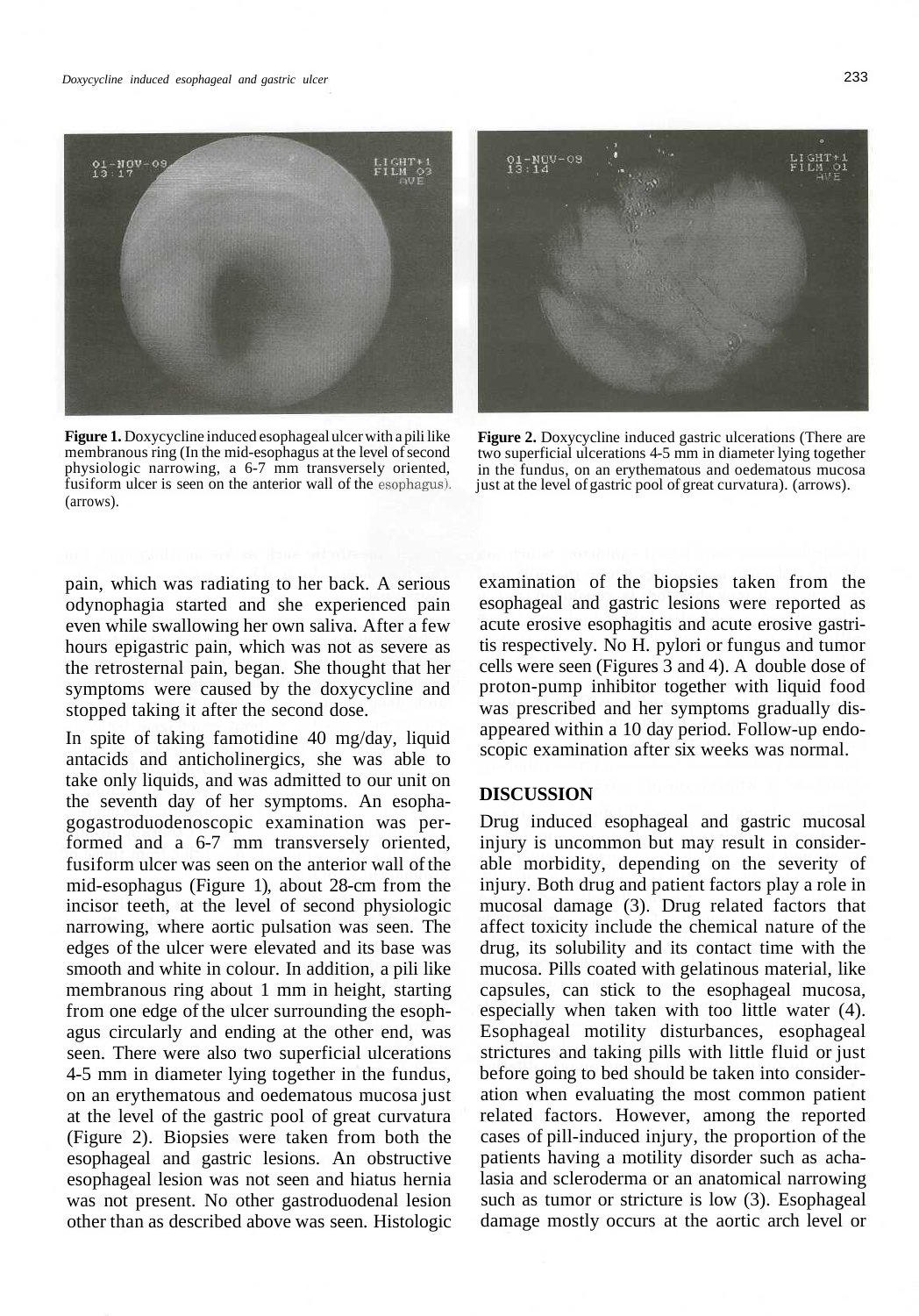

**Figure 1.** Doxycycline induced esophageal ulcer with a pili like membranous ring (In the mid-esophagus at the level of second physiologic narrowing, a 6-7 mm transversely oriented, fusiform ulcer is seen on the anterior wall of the esophagus). (arrows).



**Figure 2.** Doxycycline induced gastric ulcerations (There are two superficial ulcerations 4-5 mm in diameter lying together in the fundus, on an erythematous and oedematous mucosa just at the level of gastric pool of great curvatura). (arrows).

pain, which was radiating to her back. A serious odynophagia started and she experienced pain even while swallowing her own saliva. After a few hours epigastric pain, which was not as severe as the retrosternal pain, began. She thought that her symptoms were caused by the doxycycline and stopped taking it after the second dose.

In spite of taking famotidine 40 mg/day, liquid antacids and anticholinergics, she was able to take only liquids, and was admitted to our unit on the seventh day of her symptoms. An esophagogastroduodenoscopic examination was performed and a 6-7 mm transversely oriented, fusiform ulcer was seen on the anterior wall of the mid-esophagus (Figure 1), about 28-cm from the incisor teeth, at the level of second physiologic narrowing, where aortic pulsation was seen. The edges of the ulcer were elevated and its base was smooth and white in colour. In addition, a pili like membranous ring about 1 mm in height, starting from one edge of the ulcer surrounding the esophagus circularly and ending at the other end, was seen. There were also two superficial ulcerations 4-5 mm in diameter lying together in the fundus, on an erythematous and oedematous mucosa just at the level of the gastric pool of great curvatura (Figure 2). Biopsies were taken from both the esophageal and gastric lesions. An obstructive esophageal lesion was not seen and hiatus hernia was not present. No other gastroduodenal lesion other than as described above was seen. Histologic examination of the biopsies taken from the esophageal and gastric lesions were reported as acute erosive esophagitis and acute erosive gastritis respectively. No H. pylori or fungus and tumor cells were seen (Figures 3 and 4). A double dose of proton-pump inhibitor together with liquid food was prescribed and her symptoms gradually disappeared within a 10 day period. Follow-up endoscopic examination after six weeks was normal.

# **DISCUSSION**

Drug induced esophageal and gastric mucosal injury is uncommon but may result in considerable morbidity, depending on the severity of injury. Both drug and patient factors play a role in mucosal damage (3). Drug related factors that affect toxicity include the chemical nature of the drug, its solubility and its contact time with the mucosa. Pills coated with gelatinous material, like capsules, can stick to the esophageal mucosa, especially when taken with too little water (4). Esophageal motility disturbances, esophageal strictures and taking pills with little fluid or just before going to bed should be taken into consideration when evaluating the most common patient related factors. However, among the reported cases of pill-induced injury, the proportion of the patients having a motility disorder such as achalasia and scleroderma or an anatomical narrowing such as tumor or stricture is low (3). Esophageal damage mostly occurs at the aortic arch level or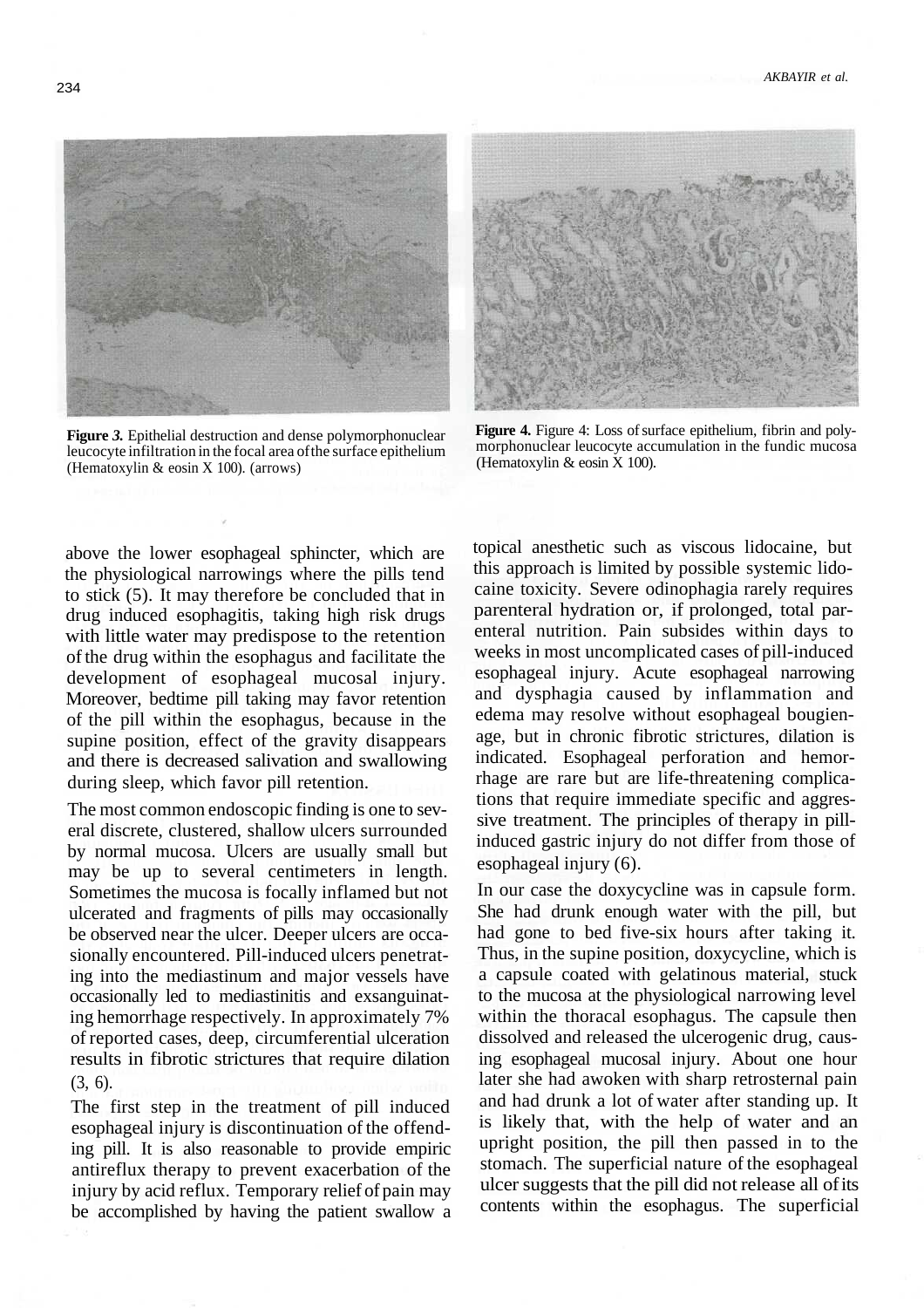

**Figure** *3.* Epithelial destruction and dense polymorphonuclear leucocyte infiltration in the focal area of the surface epithelium (Hematoxylin & eosin X 100). (arrows)



**Figure 4.** Figure 4: Loss of surface epithelium, fibrin and polymorphonuclear leucocyte accumulation in the fundic mucosa (Hematoxylin & eosin X 100).

above the lower esophageal sphincter, which are the physiological narrowings where the pills tend to stick (5). It may therefore be concluded that in drug induced esophagitis, taking high risk drugs with little water may predispose to the retention of the drug within the esophagus and facilitate the development of esophageal mucosal injury. Moreover, bedtime pill taking may favor retention of the pill within the esophagus, because in the supine position, effect of the gravity disappears and there is decreased salivation and swallowing during sleep, which favor pill retention.

The most common endoscopic finding is one to several discrete, clustered, shallow ulcers surrounded by normal mucosa. Ulcers are usually small but may be up to several centimeters in length. Sometimes the mucosa is focally inflamed but not ulcerated and fragments of pills may occasionally be observed near the ulcer. Deeper ulcers are occasionally encountered. Pill-induced ulcers penetrating into the mediastinum and major vessels have occasionally led to mediastinitis and exsanguinating hemorrhage respectively. In approximately 7% of reported cases, deep, circumferential ulceration results in fibrotic strictures that require dilation (3, 6).

The first step in the treatment of pill induced esophageal injury is discontinuation of the offending pill. It is also reasonable to provide empiric antireflux therapy to prevent exacerbation of the injury by acid reflux. Temporary relief of pain may be accomplished by having the patient swallow a topical anesthetic such as viscous lidocaine, but this approach is limited by possible systemic lidocaine toxicity. Severe odinophagia rarely requires parenteral hydration or, if prolonged, total parenteral nutrition. Pain subsides within days to weeks in most uncomplicated cases of pill-induced esophageal injury. Acute esophageal narrowing and dysphagia caused by inflammation and edema may resolve without esophageal bougienage, but in chronic fibrotic strictures, dilation is indicated. Esophageal perforation and hemorrhage are rare but are life-threatening complications that require immediate specific and aggressive treatment. The principles of therapy in pillinduced gastric injury do not differ from those of esophageal injury (6).

In our case the doxycycline was in capsule form. She had drunk enough water with the pill, but had gone to bed five-six hours after taking it. Thus, in the supine position, doxycycline, which is a capsule coated with gelatinous material, stuck to the mucosa at the physiological narrowing level within the thoracal esophagus. The capsule then dissolved and released the ulcerogenic drug, causing esophageal mucosal injury. About one hour later she had awoken with sharp retrosternal pain and had drunk a lot of water after standing up. It is likely that, with the help of water and an upright position, the pill then passed in to the stomach. The superficial nature of the esophageal ulcer suggests that the pill did not release all of its contents within the esophagus. The superficial